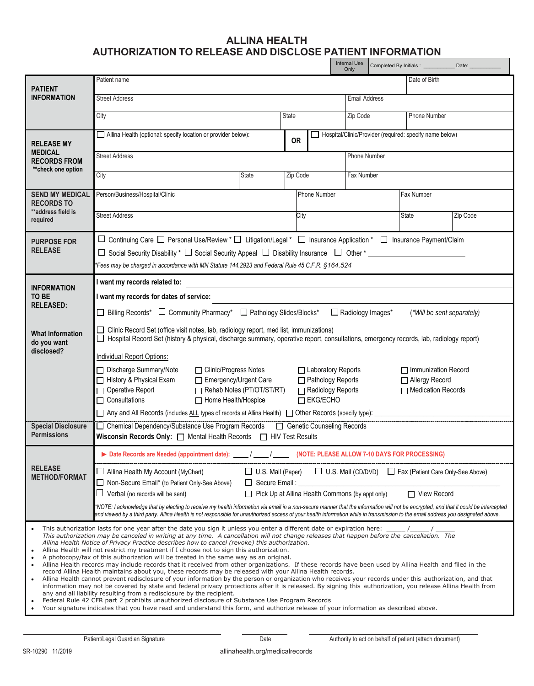## **ALLINA HEALTH AUTHORIZATION TO RELEASE AND DISCLOSE PATIENT INFORMATION**

|                                                                                                                                                                                                                                                                                                                                                                                                                                                                                                                                                                                                                                                                                                                                                                                                                                                                                                                                                                                                                                                                                                                                                                                                                                                                                                                                                                                                                                                                                                                                                                                                                                                                                                                                              |                                                                                                                                                                                                                                                                                                                                                                            |          |  |  | <b>Internal Use</b><br>Only | Completed By Initials : _____________ Date: __________ |               |          |  |
|----------------------------------------------------------------------------------------------------------------------------------------------------------------------------------------------------------------------------------------------------------------------------------------------------------------------------------------------------------------------------------------------------------------------------------------------------------------------------------------------------------------------------------------------------------------------------------------------------------------------------------------------------------------------------------------------------------------------------------------------------------------------------------------------------------------------------------------------------------------------------------------------------------------------------------------------------------------------------------------------------------------------------------------------------------------------------------------------------------------------------------------------------------------------------------------------------------------------------------------------------------------------------------------------------------------------------------------------------------------------------------------------------------------------------------------------------------------------------------------------------------------------------------------------------------------------------------------------------------------------------------------------------------------------------------------------------------------------------------------------|----------------------------------------------------------------------------------------------------------------------------------------------------------------------------------------------------------------------------------------------------------------------------------------------------------------------------------------------------------------------------|----------|--|--|-----------------------------|--------------------------------------------------------|---------------|----------|--|
| <b>PATIENT</b>                                                                                                                                                                                                                                                                                                                                                                                                                                                                                                                                                                                                                                                                                                                                                                                                                                                                                                                                                                                                                                                                                                                                                                                                                                                                                                                                                                                                                                                                                                                                                                                                                                                                                                                               | Patient name                                                                                                                                                                                                                                                                                                                                                               |          |  |  |                             |                                                        | Date of Birth |          |  |
| <b>INFORMATION</b>                                                                                                                                                                                                                                                                                                                                                                                                                                                                                                                                                                                                                                                                                                                                                                                                                                                                                                                                                                                                                                                                                                                                                                                                                                                                                                                                                                                                                                                                                                                                                                                                                                                                                                                           | <b>Street Address</b>                                                                                                                                                                                                                                                                                                                                                      |          |  |  |                             | <b>Email Address</b>                                   |               |          |  |
|                                                                                                                                                                                                                                                                                                                                                                                                                                                                                                                                                                                                                                                                                                                                                                                                                                                                                                                                                                                                                                                                                                                                                                                                                                                                                                                                                                                                                                                                                                                                                                                                                                                                                                                                              | <b>State</b><br>City                                                                                                                                                                                                                                                                                                                                                       |          |  |  | Zip Code                    | Phone Number                                           |               |          |  |
| <b>RELEASE MY</b><br><b>MEDICAL</b><br><b>RECORDS FROM</b><br>** check one option                                                                                                                                                                                                                                                                                                                                                                                                                                                                                                                                                                                                                                                                                                                                                                                                                                                                                                                                                                                                                                                                                                                                                                                                                                                                                                                                                                                                                                                                                                                                                                                                                                                            | Hospital/Clinic/Provider (required: specify name below)<br>Allina Health (optional: specify location or provider below):<br><b>OR</b>                                                                                                                                                                                                                                      |          |  |  |                             |                                                        |               |          |  |
|                                                                                                                                                                                                                                                                                                                                                                                                                                                                                                                                                                                                                                                                                                                                                                                                                                                                                                                                                                                                                                                                                                                                                                                                                                                                                                                                                                                                                                                                                                                                                                                                                                                                                                                                              | <b>Street Address</b><br>Phone Number                                                                                                                                                                                                                                                                                                                                      |          |  |  |                             |                                                        |               |          |  |
|                                                                                                                                                                                                                                                                                                                                                                                                                                                                                                                                                                                                                                                                                                                                                                                                                                                                                                                                                                                                                                                                                                                                                                                                                                                                                                                                                                                                                                                                                                                                                                                                                                                                                                                                              | City<br><b>State</b>                                                                                                                                                                                                                                                                                                                                                       | Zip Code |  |  |                             | Fax Number                                             |               |          |  |
| <b>SEND MY MEDICAL</b><br><b>RECORDS TO</b><br>**address field is<br>required                                                                                                                                                                                                                                                                                                                                                                                                                                                                                                                                                                                                                                                                                                                                                                                                                                                                                                                                                                                                                                                                                                                                                                                                                                                                                                                                                                                                                                                                                                                                                                                                                                                                | Person/Business/Hospital/Clinic<br>Phone Number                                                                                                                                                                                                                                                                                                                            |          |  |  |                             | Fax Number                                             |               |          |  |
|                                                                                                                                                                                                                                                                                                                                                                                                                                                                                                                                                                                                                                                                                                                                                                                                                                                                                                                                                                                                                                                                                                                                                                                                                                                                                                                                                                                                                                                                                                                                                                                                                                                                                                                                              | <b>Street Address</b><br>City                                                                                                                                                                                                                                                                                                                                              |          |  |  |                             |                                                        | State         | Zip Code |  |
| <b>PURPOSE FOR</b><br><b>RELEASE</b>                                                                                                                                                                                                                                                                                                                                                                                                                                                                                                                                                                                                                                                                                                                                                                                                                                                                                                                                                                                                                                                                                                                                                                                                                                                                                                                                                                                                                                                                                                                                                                                                                                                                                                         | □ Continuing Care □ Personal Use/Review * □ Litigation/Legal * □ Insurance Application * □ Insurance Payment/Claim<br>□ Social Security Disability * □ Social Security Appeal □ Disability Insurance □ Other *<br>Fees may be charged in accordance with MN Statute 144.2923 and Federal Rule 45 C.F.R. §164.524                                                           |          |  |  |                             |                                                        |               |          |  |
| <b>INFORMATION</b><br>TO BE<br><b>RELEASED:</b>                                                                                                                                                                                                                                                                                                                                                                                                                                                                                                                                                                                                                                                                                                                                                                                                                                                                                                                                                                                                                                                                                                                                                                                                                                                                                                                                                                                                                                                                                                                                                                                                                                                                                              | I want my records related to:                                                                                                                                                                                                                                                                                                                                              |          |  |  |                             |                                                        |               |          |  |
|                                                                                                                                                                                                                                                                                                                                                                                                                                                                                                                                                                                                                                                                                                                                                                                                                                                                                                                                                                                                                                                                                                                                                                                                                                                                                                                                                                                                                                                                                                                                                                                                                                                                                                                                              | I want my records for dates of service:                                                                                                                                                                                                                                                                                                                                    |          |  |  |                             |                                                        |               |          |  |
|                                                                                                                                                                                                                                                                                                                                                                                                                                                                                                                                                                                                                                                                                                                                                                                                                                                                                                                                                                                                                                                                                                                                                                                                                                                                                                                                                                                                                                                                                                                                                                                                                                                                                                                                              | □ Billing Records* □ Community Pharmacy* □ Pathology Slides/Blocks*<br>Radiology Images*<br>(*Will be sent separately)                                                                                                                                                                                                                                                     |          |  |  |                             |                                                        |               |          |  |
| <b>What Information</b><br>do you want                                                                                                                                                                                                                                                                                                                                                                                                                                                                                                                                                                                                                                                                                                                                                                                                                                                                                                                                                                                                                                                                                                                                                                                                                                                                                                                                                                                                                                                                                                                                                                                                                                                                                                       | □ Clinic Record Set (office visit notes, lab, radiology report, med list, immunizations)<br>□ Hospital Record Set (history & physical, discharge summary, operative report, consultations, emergency records, lab, radiology report)                                                                                                                                       |          |  |  |                             |                                                        |               |          |  |
| disclosed?                                                                                                                                                                                                                                                                                                                                                                                                                                                                                                                                                                                                                                                                                                                                                                                                                                                                                                                                                                                                                                                                                                                                                                                                                                                                                                                                                                                                                                                                                                                                                                                                                                                                                                                                   | <b>Individual Report Options:</b>                                                                                                                                                                                                                                                                                                                                          |          |  |  |                             |                                                        |               |          |  |
|                                                                                                                                                                                                                                                                                                                                                                                                                                                                                                                                                                                                                                                                                                                                                                                                                                                                                                                                                                                                                                                                                                                                                                                                                                                                                                                                                                                                                                                                                                                                                                                                                                                                                                                                              | □ Laboratory Reports<br>□ Immunization Record<br>□ Discharge Summary/Note<br>□ Clinic/Progress Notes<br>History & Physical Exam<br>Emergency/Urgent Care<br>□ Pathology Reports<br>□ Allergy Record<br>$\Box$ Medication Records<br>□ Operative Report<br>Rehab Notes (PT/OT/ST/RT)<br>Radiology Reports<br>$\Box$ EKG/ECHO<br>$\Box$ Consultations<br>Home Health/Hospice |          |  |  |                             |                                                        |               |          |  |
|                                                                                                                                                                                                                                                                                                                                                                                                                                                                                                                                                                                                                                                                                                                                                                                                                                                                                                                                                                                                                                                                                                                                                                                                                                                                                                                                                                                                                                                                                                                                                                                                                                                                                                                                              |                                                                                                                                                                                                                                                                                                                                                                            |          |  |  |                             |                                                        |               |          |  |
| <b>Special Disclosure</b><br><b>Permissions</b>                                                                                                                                                                                                                                                                                                                                                                                                                                                                                                                                                                                                                                                                                                                                                                                                                                                                                                                                                                                                                                                                                                                                                                                                                                                                                                                                                                                                                                                                                                                                                                                                                                                                                              | □ Chemical Dependency/Substance Use Program Records □ Genetic Counseling Records<br>Wisconsin Records Only: [ ] Mental Health Records [ ] HIV Test Results                                                                                                                                                                                                                 |          |  |  |                             |                                                        |               |          |  |
|                                                                                                                                                                                                                                                                                                                                                                                                                                                                                                                                                                                                                                                                                                                                                                                                                                                                                                                                                                                                                                                                                                                                                                                                                                                                                                                                                                                                                                                                                                                                                                                                                                                                                                                                              | Date Records are Needed (appointment date): _____ / _____ /<br>(NOTE: PLEASE ALLOW 7-10 DAYS FOR PROCESSING)                                                                                                                                                                                                                                                               |          |  |  |                             |                                                        |               |          |  |
| <b>RELEASE</b><br><b>METHOD/FORMAT</b>                                                                                                                                                                                                                                                                                                                                                                                                                                                                                                                                                                                                                                                                                                                                                                                                                                                                                                                                                                                                                                                                                                                                                                                                                                                                                                                                                                                                                                                                                                                                                                                                                                                                                                       | $\Box$ Allina Health My Account (MyChart)<br>□ U.S. Mail (CD/DVD) □ Fax (Patient Care Only-See Above)<br>$\Box$ U.S. Mail (Paper)<br>□ Non-Secure Email* (to Patient Only-See Above)<br>$\Box$ Secure Email:                                                                                                                                                               |          |  |  |                             |                                                        |               |          |  |
|                                                                                                                                                                                                                                                                                                                                                                                                                                                                                                                                                                                                                                                                                                                                                                                                                                                                                                                                                                                                                                                                                                                                                                                                                                                                                                                                                                                                                                                                                                                                                                                                                                                                                                                                              | $\Box$ Pick Up at Allina Health Commons (by appt only)<br>□ View Record<br>$\Box$ Verbal (no records will be sent)                                                                                                                                                                                                                                                         |          |  |  |                             |                                                        |               |          |  |
|                                                                                                                                                                                                                                                                                                                                                                                                                                                                                                                                                                                                                                                                                                                                                                                                                                                                                                                                                                                                                                                                                                                                                                                                                                                                                                                                                                                                                                                                                                                                                                                                                                                                                                                                              | NOTE: I acknowledge that by electing to receive my health information via email in a non-secure manner that the information will not be encrypted, and that it could be intercepted<br>and viewed by a third party. Allina Health is not responsible for unauthorized access of your health information while in transmission to the email address you designated above.   |          |  |  |                             |                                                        |               |          |  |
| This authorization lasts for one year after the date you sign it unless you enter a different date or expiration here: $\frac{1}{\sqrt{1-\frac{1}{1-\frac{1}{1-\frac{1}{1-\frac{1}{1-\frac{1}{1-\frac{1}{1-\frac{1}{1-\frac{1}{1-\frac{1}{1-\frac{1}{1-\frac{1}{1-\frac{1}{1-\frac{1}{1-\frac{1}{1-\frac{1}{1-\frac$<br>This authorization may be canceled in writing at any time. A cancellation will not change releases that happen before the cancellation. The<br>Allina Health Notice of Privacy Practice describes how to cancel (revoke) this authorization.<br>Allina Health will not restrict my treatment if I choose not to sign this authorization.<br>$\bullet$<br>A photocopy/fax of this authorization will be treated in the same way as an original.<br>$\bullet$<br>Allina Health records may include records that it received from other organizations. If these records have been used by Allina Health and filed in the<br>$\bullet$<br>record Allina Health maintains about you, these records may be released with your Allina Health records.<br>Allina Health cannot prevent redisclosure of your information by the person or organization who receives your records under this authorization, and that<br>$\bullet$<br>information may not be covered by state and federal privacy protections after it is released. By signing this authorization, you release Allina Health from<br>any and all liability resulting from a redisclosure by the recipient.<br>Federal Rule 42 CFR part 2 prohibits unauthorized disclosure of Substance Use Program Records<br>$\bullet$<br>Your signature indicates that you have read and understand this form, and authorize release of your information as described above. |                                                                                                                                                                                                                                                                                                                                                                            |          |  |  |                             |                                                        |               |          |  |